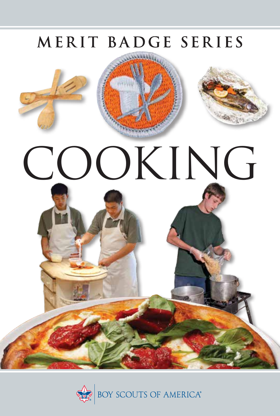# MERIT BADGE SERIES



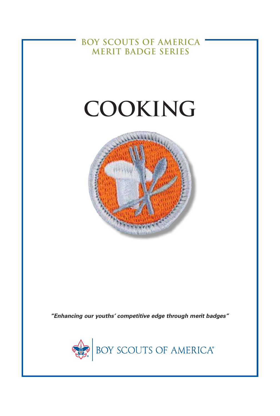**BOY SCOUTS OF AMERICA MERIT BADGE SERIES**

# **COOKING**



*"Enhancing our youths' competitive edge through merit badges"*

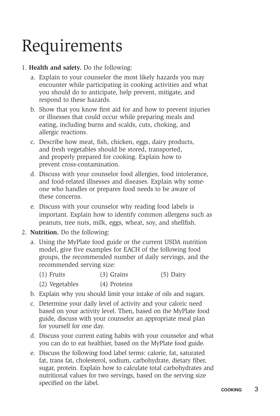# Requirements

#### 1. **Health and safety.** Do the following:

- a. Explain to your counselor the most likely hazards you may encounter while participating in cooking activities and what you should do to anticipate, help prevent, mitigate, and respond to these hazards.
- b. Show that you know first aid for and how to prevent injuries or illnesses that could occur while preparing meals and eating, including burns and scalds, cuts, choking, and allergic reactions.
- c. Describe how meat, fish, chicken, eggs, dairy products, and fresh vegetables should be stored, transported, and properly prepared for cooking. Explain how to prevent cross-contamination.
- d. Discuss with your counselor food allergies, food intolerance, and food-related illnesses and diseases. Explain why someone who handles or prepares food needs to be aware of these concerns.
- e. Discuss with your counselor why reading food labels is important. Explain how to identify common allergens such as peanuts, tree nuts, milk, eggs, wheat, soy, and shellfish.
- 2. **Nutrition.** Do the following:
	- a. Using the MyPlate food guide or the current USDA nutrition model, give five examples for EACH of the following food groups, the recommended number of daily servings, and the recommended serving size:

| $(1)$ Fruits | $(3)$ Grains | $(5)$ Dairy |
|--------------|--------------|-------------|
|              |              |             |

- (2) Vegetables (4) Proteins
- b. Explain why you should limit your intake of oils and sugars.
- c. Determine your daily level of activity and your caloric need based on your activity level. Then, based on the MyPlate food guide, discuss with your counselor an appropriate meal plan for yourself for one day.
- d. Discuss your current eating habits with your counselor and what you can do to eat healthier, based on the MyPlate food guide.
- e. Discuss the following food label terms: calorie, fat, saturated fat, trans fat, cholesterol, sodium, carbohydrate, dietary fiber, sugar, protein. Explain how to calculate total carbohydrates and nutritional values for two servings, based on the serving size specified on the label.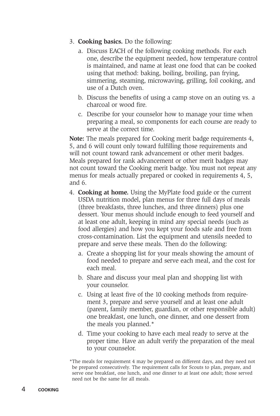- 3. **Cooking basics.** Do the following:
	- a. Discuss EACH of the following cooking methods. For each one, describe the equipment needed, how temperature control is maintained, and name at least one food that can be cooked using that method: baking, boiling, broiling, pan frying, simmering, steaming, microwaving, grilling, foil cooking, and use of a Dutch oven.
	- b. Discuss the benefits of using a camp stove on an outing vs. a charcoal or wood fire.
	- c. Describe for your counselor how to manage your time when preparing a meal, so components for each course are ready to serve at the correct time.

**Note:** The meals prepared for Cooking merit badge requirements 4, 5, and 6 will count only toward fulfilling those requirements and will not count toward rank advancement or other merit badges. Meals prepared for rank advancement or other merit badges may not count toward the Cooking merit badge. You must not repeat any menus for meals actually prepared or cooked in requirements 4, 5, and 6.

- 4. **Cooking at home.** Using the MyPlate food guide or the current USDA nutrition model, plan menus for three full days of meals (three breakfasts, three lunches, and three dinners) plus one dessert. Your menus should include enough to feed yourself and at least one adult, keeping in mind any special needs (such as food allergies) and how you kept your foods safe and free from cross-contamination. List the equipment and utensils needed to prepare and serve these meals. Then do the following:
	- a. Create a shopping list for your meals showing the amount of food needed to prepare and serve each meal, and the cost for each meal.
	- b. Share and discuss your meal plan and shopping list with your counselor.
	- c. Using at least five of the 10 cooking methods from requirement 3, prepare and serve yourself and at least one adult (parent, family member, guardian, or other responsible adult) one breakfast, one lunch, one dinner, and one dessert from the meals you planned.\*
	- d. Time your cooking to have each meal ready to serve at the proper time. Have an adult verify the preparation of the meal to your counselor.

<sup>\*</sup>The meals for requirement 4 may be prepared on different days, and they need not be prepared consecutively. The requirement calls for Scouts to plan, prepare, and serve one breakfast, one lunch, and one dinner to at least one adult; those served need not be the same for all meals.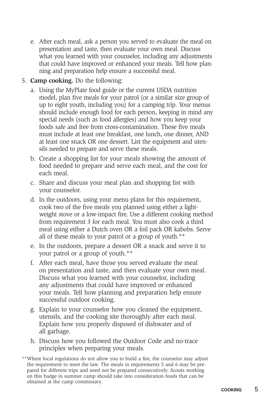e. After each meal, ask a person you served to evaluate the meal on presentation and taste, then evaluate your own meal. Discuss what you learned with your counselor, including any adjustments that could have improved or enhanced your meals. Tell how planning and preparation help ensure a successful meal.

#### 5. **Camp cooking.** Do the following:

- a. Using the MyPlate food guide or the current USDA nutrition model, plan five meals for your patrol (or a similar size group of up to eight youth, including you) for a camping trip. Your menus should include enough food for each person, keeping in mind any special needs (such as food allergies) and how you keep your foods safe and free from cross-contamination. These five meals must include at least one breakfast, one lunch, one dinner, AND at least one snack OR one dessert. List the equipment and utensils needed to prepare and serve these meals.
- b. Create a shopping list for your meals showing the amount of food needed to prepare and serve each meal, and the cost for each meal.
- c. Share and discuss your meal plan and shopping list with your counselor.
- d. In the outdoors, using your menu plans for this requirement, cook two of the five meals you planned using either a lightweight stove or a low-impact fire. Use a different cooking method from requirement 3 for each meal. You must also cook a third meal using either a Dutch oven OR a foil pack OR kabobs. Serve all of these meals to your patrol or a group of youth.\*\*
- e. In the outdoors, prepare a dessert OR a snack and serve it to your patrol or a group of youth.\*\*
- f. After each meal, have those you served evaluate the meal on presentation and taste, and then evaluate your own meal. Discuss what you learned with your counselor, including any adjustments that could have improved or enhanced your meals. Tell how planning and preparation help ensure successful outdoor cooking.
- g. Explain to your counselor how you cleaned the equipment, utensils, and the cooking site thoroughly after each meal. Explain how you properly disposed of dishwater and of all garbage.
- h. Discuss how you followed the Outdoor Code and no-trace principles when preparing your meals.

<sup>\*\*</sup>Where local regulations do not allow you to build a fire, the counselor may adjust the requirement to meet the law. The meals in requirements 5 and 6 may be prepared for different trips and need not be prepared consecutively. Scouts working on this badge in summer camp should take into consideration foods that can be obtained at the camp commissary.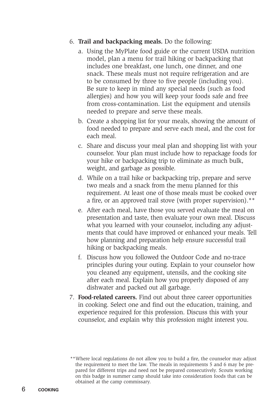- 6. **Trail and backpacking meals.** Do the following:
	- a. Using the MyPlate food guide or the current USDA nutrition model, plan a menu for trail hiking or backpacking that includes one breakfast, one lunch, one dinner, and one snack. These meals must not require refrigeration and are to be consumed by three to five people (including you). Be sure to keep in mind any special needs (such as food allergies) and how you will keep your foods safe and free from cross-contamination. List the equipment and utensils needed to prepare and serve these meals.
	- b. Create a shopping list for your meals, showing the amount of food needed to prepare and serve each meal, and the cost for each meal.
	- c. Share and discuss your meal plan and shopping list with your counselor. Your plan must include how to repackage foods for your hike or backpacking trip to eliminate as much bulk, weight, and garbage as possible.
	- d. While on a trail hike or backpacking trip, prepare and serve two meals and a snack from the menu planned for this requirement. At least one of those meals must be cooked over a fire, or an approved trail stove (with proper supervision).\*\*
	- e. After each meal, have those you served evaluate the meal on presentation and taste, then evaluate your own meal. Discuss what you learned with your counselor, including any adjustments that could have improved or enhanced your meals. Tell how planning and preparation help ensure successful trail hiking or backpacking meals.
	- f. Discuss how you followed the Outdoor Code and no-trace principles during your outing. Explain to your counselor how you cleaned any equipment, utensils, and the cooking site after each meal. Explain how you properly disposed of any dishwater and packed out all garbage.
- 7. **Food-related careers.** Find out about three career opportunities in cooking. Select one and find out the education, training, and experience required for this profession. Discuss this with your counselor, and explain why this profession might interest you.

<sup>\*\*</sup>Where local regulations do not allow you to build a fire, the counselor may adjust the requirement to meet the law. The meals in requirements 5 and 6 may be prepared for different trips and need not be prepared consecutively. Scouts working on this badge in summer camp should take into consideration foods that can be obtained at the camp commissary.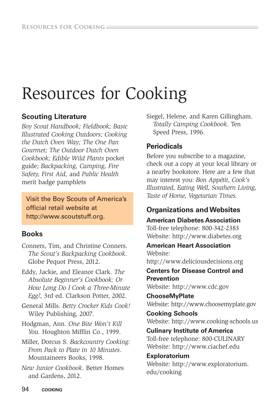# Resources for Cooking

### **Scouting Literature**

*Boy Scout Handbook; Fieldbook; Basic Illustrated Cooking Outdoors; Cooking the Dutch Oven Way; The One Pan Gourmet; The Outdoor Dutch Oven Cookbook; Edible Wild Plants* pocket guide; *Backpacking, Camping, Fire Safety, First Aid,* and *Public Health* merit badge pamphlets

Visit the Boy Scouts of America's official retail website at [http://www.scoutstuff.org.](http://)

#### **Books**

- Conners, Tim, and Christine Conners. *The Scout's Backpacking Cookbook.* Globe Pequot Press, 2012.
- Eddy, Jackie, and Eleanor Clark. *The Absolute Beginner's Cookbook: Or How Long Do I Cook a Three-Minute Egg?,* 3rd ed. Clarkson Potter, 2002.
- General Mills. *Betty Crocker Kids Cook!* Wiley Publishing, 2007.
- Hodgman, Ann. *One Bite Won't Kill You.* Houghton Mifflin Co., 1999.
- Miller, Dorcus S. *Backcountry Cooking: From Pack to Plate in 10 Minutes*. Mountaineers Books, 1998.

*New Junior Cookbook.* Better Homes and Gardens, 2012.

Siegel, Helene, and Karen Gillingham. *Totally Camping Cookbook.* Ten Speed Press, 1996.

## **Periodicals**

Before you subscribe to a magazine, check out a copy at your local library or a nearby bookstore. Here are a few that may interest you: *Bon Appétit, Cook's Illustrated, Eating Well, Southern Living, Taste of Home, Vegetarian Times.*

### **Organizations and Websites**

**American Diabetes Association** Toll-free telephone: 800-342-2383 Website: <http://www.diabetes.org>

#### **American Heart Association** Website:

<http://www.deliciousdecisions.org>

#### **Centers for Disease Control and Prevention**

Website: http://www.cdc.gov

**ChooseMyPlate** Website: http://www.choosemyplate.gov

**Cooking Schools** Website: http://www.cooking-schools.us

#### **Culinary Institute of America** Toll-free telephone: 800-CULINARY Website: http://www.ciachef.edu

**Exploratorium**

Website: http://www.exploratorium. edu/cooking